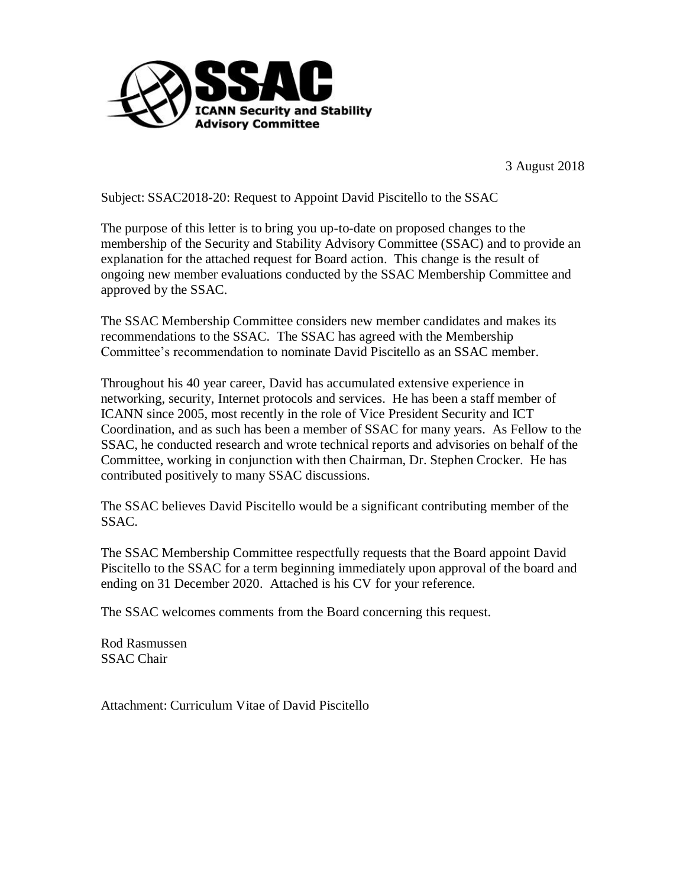

3 August 2018

Subject: SSAC2018-20: Request to Appoint David Piscitello to the SSAC

The purpose of this letter is to bring you up-to-date on proposed changes to the membership of the Security and Stability Advisory Committee (SSAC) and to provide an explanation for the attached request for Board action. This change is the result of ongoing new member evaluations conducted by the SSAC Membership Committee and approved by the SSAC.

The SSAC Membership Committee considers new member candidates and makes its recommendations to the SSAC. The SSAC has agreed with the Membership Committee's recommendation to nominate David Piscitello as an SSAC member.

Throughout his 40 year career, David has accumulated extensive experience in networking, security, Internet protocols and services. He has been a staff member of ICANN since 2005, most recently in the role of Vice President Security and ICT Coordination, and as such has been a member of SSAC for many years. As Fellow to the SSAC, he conducted research and wrote technical reports and advisories on behalf of the Committee, working in conjunction with then Chairman, Dr. Stephen Crocker. He has contributed positively to many SSAC discussions.

The SSAC believes David Piscitello would be a significant contributing member of the SSAC.

The SSAC Membership Committee respectfully requests that the Board appoint David Piscitello to the SSAC for a term beginning immediately upon approval of the board and ending on 31 December 2020. Attached is his CV for your reference.

The SSAC welcomes comments from the Board concerning this request.

Rod Rasmussen SSAC Chair

Attachment: Curriculum Vitae of David Piscitello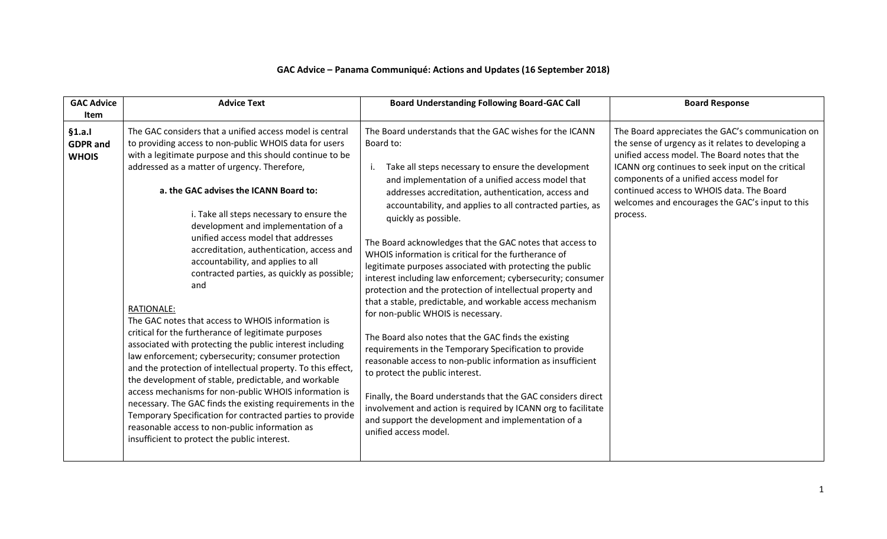| <b>GAC Advice</b><br><b>Item</b>         | <b>Advice Text</b>                                                                                                                                                                                                                                                                                                                                                                                                                                                                                                                                                                                                                                                                                                                                                                                                                                                                                                                                                                                                                                                                                                                                                                                            | <b>Board Understanding Following Board-GAC Call</b>                                                                                                                                                                                                                                                                                                                                                                                                                                                                                                                                                                                                                                                                                                                                                                                                                                                                                                                                                                                                                                                                                                                               | <b>Board Response</b>                                                                                                                                                                                                                                                                                                                                                 |
|------------------------------------------|---------------------------------------------------------------------------------------------------------------------------------------------------------------------------------------------------------------------------------------------------------------------------------------------------------------------------------------------------------------------------------------------------------------------------------------------------------------------------------------------------------------------------------------------------------------------------------------------------------------------------------------------------------------------------------------------------------------------------------------------------------------------------------------------------------------------------------------------------------------------------------------------------------------------------------------------------------------------------------------------------------------------------------------------------------------------------------------------------------------------------------------------------------------------------------------------------------------|-----------------------------------------------------------------------------------------------------------------------------------------------------------------------------------------------------------------------------------------------------------------------------------------------------------------------------------------------------------------------------------------------------------------------------------------------------------------------------------------------------------------------------------------------------------------------------------------------------------------------------------------------------------------------------------------------------------------------------------------------------------------------------------------------------------------------------------------------------------------------------------------------------------------------------------------------------------------------------------------------------------------------------------------------------------------------------------------------------------------------------------------------------------------------------------|-----------------------------------------------------------------------------------------------------------------------------------------------------------------------------------------------------------------------------------------------------------------------------------------------------------------------------------------------------------------------|
| §1.a.<br><b>GDPR</b> and<br><b>WHOIS</b> | The GAC considers that a unified access model is central<br>to providing access to non-public WHOIS data for users<br>with a legitimate purpose and this should continue to be<br>addressed as a matter of urgency. Therefore,<br>a. the GAC advises the ICANN Board to:<br>i. Take all steps necessary to ensure the<br>development and implementation of a<br>unified access model that addresses<br>accreditation, authentication, access and<br>accountability, and applies to all<br>contracted parties, as quickly as possible;<br>and<br><b>RATIONALE:</b><br>The GAC notes that access to WHOIS information is<br>critical for the furtherance of legitimate purposes<br>associated with protecting the public interest including<br>law enforcement; cybersecurity; consumer protection<br>and the protection of intellectual property. To this effect,<br>the development of stable, predictable, and workable<br>access mechanisms for non-public WHOIS information is<br>necessary. The GAC finds the existing requirements in the<br>Temporary Specification for contracted parties to provide<br>reasonable access to non-public information as<br>insufficient to protect the public interest. | The Board understands that the GAC wishes for the ICANN<br>Board to:<br>Take all steps necessary to ensure the development<br>and implementation of a unified access model that<br>addresses accreditation, authentication, access and<br>accountability, and applies to all contracted parties, as<br>quickly as possible.<br>The Board acknowledges that the GAC notes that access to<br>WHOIS information is critical for the furtherance of<br>legitimate purposes associated with protecting the public<br>interest including law enforcement; cybersecurity; consumer<br>protection and the protection of intellectual property and<br>that a stable, predictable, and workable access mechanism<br>for non-public WHOIS is necessary.<br>The Board also notes that the GAC finds the existing<br>requirements in the Temporary Specification to provide<br>reasonable access to non-public information as insufficient<br>to protect the public interest.<br>Finally, the Board understands that the GAC considers direct<br>involvement and action is required by ICANN org to facilitate<br>and support the development and implementation of a<br>unified access model. | The Board appreciates the GAC's communication on<br>the sense of urgency as it relates to developing a<br>unified access model. The Board notes that the<br>ICANN org continues to seek input on the critical<br>components of a unified access model for<br>continued access to WHOIS data. The Board<br>welcomes and encourages the GAC's input to this<br>process. |

## **GAC Advice – Panama Communiqué: Actions and Updates (16 September 2018)**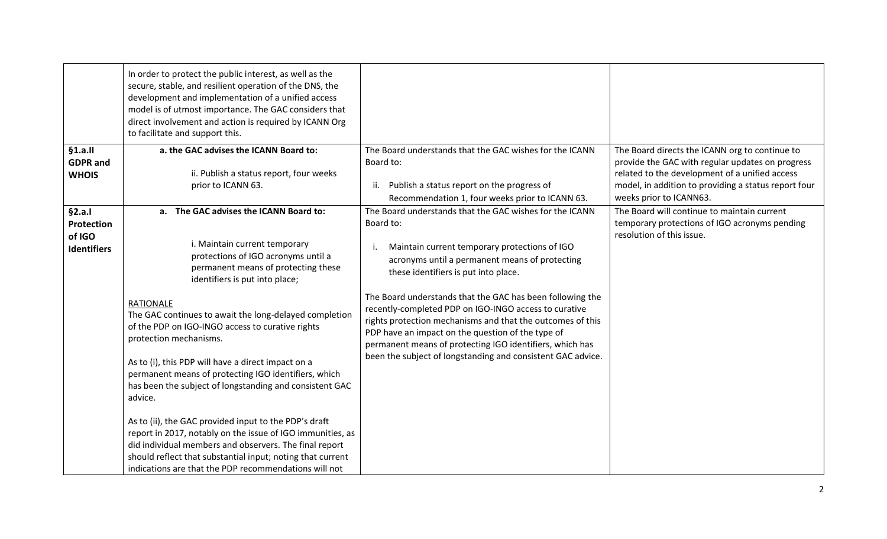|                                                             | In order to protect the public interest, as well as the<br>secure, stable, and resilient operation of the DNS, the<br>development and implementation of a unified access<br>model is of utmost importance. The GAC considers that<br>direct involvement and action is required by ICANN Org<br>to facilitate and support this.                                                                                                                                                                                                                                                                                                                                                                                                                                                                                                                  |                                                                                                                                                                                                                                                                                                                                                                                                                                                                                                                                                                                           |                                                                                                                                                                                                                                         |
|-------------------------------------------------------------|-------------------------------------------------------------------------------------------------------------------------------------------------------------------------------------------------------------------------------------------------------------------------------------------------------------------------------------------------------------------------------------------------------------------------------------------------------------------------------------------------------------------------------------------------------------------------------------------------------------------------------------------------------------------------------------------------------------------------------------------------------------------------------------------------------------------------------------------------|-------------------------------------------------------------------------------------------------------------------------------------------------------------------------------------------------------------------------------------------------------------------------------------------------------------------------------------------------------------------------------------------------------------------------------------------------------------------------------------------------------------------------------------------------------------------------------------------|-----------------------------------------------------------------------------------------------------------------------------------------------------------------------------------------------------------------------------------------|
| §1.a.II<br><b>GDPR</b> and<br><b>WHOIS</b>                  | a. the GAC advises the ICANN Board to:<br>ii. Publish a status report, four weeks<br>prior to ICANN 63.                                                                                                                                                                                                                                                                                                                                                                                                                                                                                                                                                                                                                                                                                                                                         | The Board understands that the GAC wishes for the ICANN<br>Board to:<br>Publish a status report on the progress of<br>ii.<br>Recommendation 1, four weeks prior to ICANN 63.                                                                                                                                                                                                                                                                                                                                                                                                              | The Board directs the ICANN org to continue to<br>provide the GAC with regular updates on progress<br>related to the development of a unified access<br>model, in addition to providing a status report four<br>weeks prior to ICANN63. |
| §2.a.1<br><b>Protection</b><br>of IGO<br><b>Identifiers</b> | a. The GAC advises the ICANN Board to:<br>i. Maintain current temporary<br>protections of IGO acronyms until a<br>permanent means of protecting these<br>identifiers is put into place;<br><b>RATIONALE</b><br>The GAC continues to await the long-delayed completion<br>of the PDP on IGO-INGO access to curative rights<br>protection mechanisms.<br>As to (i), this PDP will have a direct impact on a<br>permanent means of protecting IGO identifiers, which<br>has been the subject of longstanding and consistent GAC<br>advice.<br>As to (ii), the GAC provided input to the PDP's draft<br>report in 2017, notably on the issue of IGO immunities, as<br>did individual members and observers. The final report<br>should reflect that substantial input; noting that current<br>indications are that the PDP recommendations will not | The Board understands that the GAC wishes for the ICANN<br>Board to:<br>Maintain current temporary protections of IGO<br>j.<br>acronyms until a permanent means of protecting<br>these identifiers is put into place.<br>The Board understands that the GAC has been following the<br>recently-completed PDP on IGO-INGO access to curative<br>rights protection mechanisms and that the outcomes of this<br>PDP have an impact on the question of the type of<br>permanent means of protecting IGO identifiers, which has<br>been the subject of longstanding and consistent GAC advice. | The Board will continue to maintain current<br>temporary protections of IGO acronyms pending<br>resolution of this issue.                                                                                                               |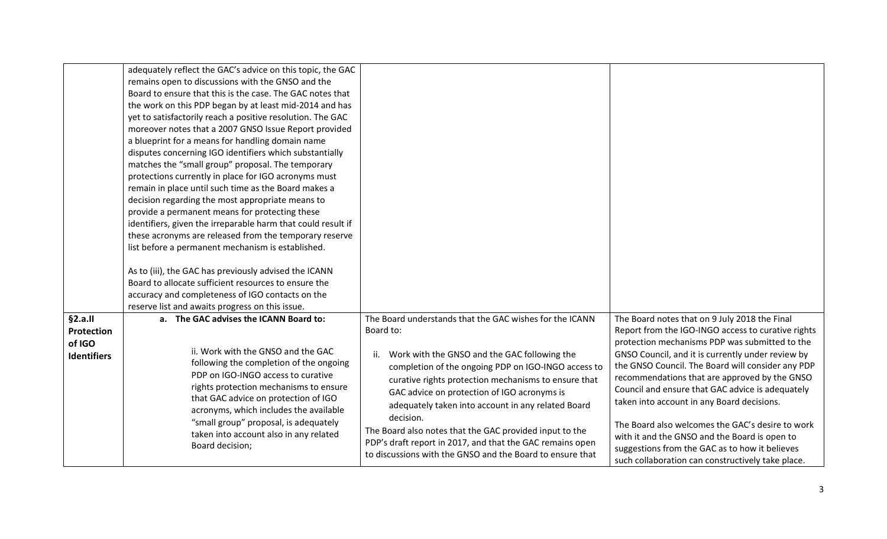|                                                              | adequately reflect the GAC's advice on this topic, the GAC<br>remains open to discussions with the GNSO and the<br>Board to ensure that this is the case. The GAC notes that<br>the work on this PDP began by at least mid-2014 and has<br>yet to satisfactorily reach a positive resolution. The GAC<br>moreover notes that a 2007 GNSO Issue Report provided<br>a blueprint for a means for handling domain name<br>disputes concerning IGO identifiers which substantially<br>matches the "small group" proposal. The temporary<br>protections currently in place for IGO acronyms must<br>remain in place until such time as the Board makes a<br>decision regarding the most appropriate means to<br>provide a permanent means for protecting these<br>identifiers, given the irreparable harm that could result if<br>these acronyms are released from the temporary reserve<br>list before a permanent mechanism is established.<br>As to (iii), the GAC has previously advised the ICANN<br>Board to allocate sufficient resources to ensure the<br>accuracy and completeness of IGO contacts on the |                                                                                                                                                                                                                                                                                                                                                                                                                                                                                                                                                   |                                                                                                                                                                                                                                                                                                                                                                                                                                                                                                                                                                                                                                |
|--------------------------------------------------------------|--------------------------------------------------------------------------------------------------------------------------------------------------------------------------------------------------------------------------------------------------------------------------------------------------------------------------------------------------------------------------------------------------------------------------------------------------------------------------------------------------------------------------------------------------------------------------------------------------------------------------------------------------------------------------------------------------------------------------------------------------------------------------------------------------------------------------------------------------------------------------------------------------------------------------------------------------------------------------------------------------------------------------------------------------------------------------------------------------------------|---------------------------------------------------------------------------------------------------------------------------------------------------------------------------------------------------------------------------------------------------------------------------------------------------------------------------------------------------------------------------------------------------------------------------------------------------------------------------------------------------------------------------------------------------|--------------------------------------------------------------------------------------------------------------------------------------------------------------------------------------------------------------------------------------------------------------------------------------------------------------------------------------------------------------------------------------------------------------------------------------------------------------------------------------------------------------------------------------------------------------------------------------------------------------------------------|
| §2.a.II<br><b>Protection</b><br>of IGO<br><b>Identifiers</b> | reserve list and awaits progress on this issue.<br>a. The GAC advises the ICANN Board to:<br>ii. Work with the GNSO and the GAC<br>following the completion of the ongoing<br>PDP on IGO-INGO access to curative<br>rights protection mechanisms to ensure<br>that GAC advice on protection of IGO<br>acronyms, which includes the available<br>"small group" proposal, is adequately<br>taken into account also in any related<br>Board decision;                                                                                                                                                                                                                                                                                                                                                                                                                                                                                                                                                                                                                                                           | The Board understands that the GAC wishes for the ICANN<br>Board to:<br>Work with the GNSO and the GAC following the<br>ii.<br>completion of the ongoing PDP on IGO-INGO access to<br>curative rights protection mechanisms to ensure that<br>GAC advice on protection of IGO acronyms is<br>adequately taken into account in any related Board<br>decision.<br>The Board also notes that the GAC provided input to the<br>PDP's draft report in 2017, and that the GAC remains open<br>to discussions with the GNSO and the Board to ensure that | The Board notes that on 9 July 2018 the Final<br>Report from the IGO-INGO access to curative rights<br>protection mechanisms PDP was submitted to the<br>GNSO Council, and it is currently under review by<br>the GNSO Council. The Board will consider any PDP<br>recommendations that are approved by the GNSO<br>Council and ensure that GAC advice is adequately<br>taken into account in any Board decisions.<br>The Board also welcomes the GAC's desire to work<br>with it and the GNSO and the Board is open to<br>suggestions from the GAC as to how it believes<br>such collaboration can constructively take place. |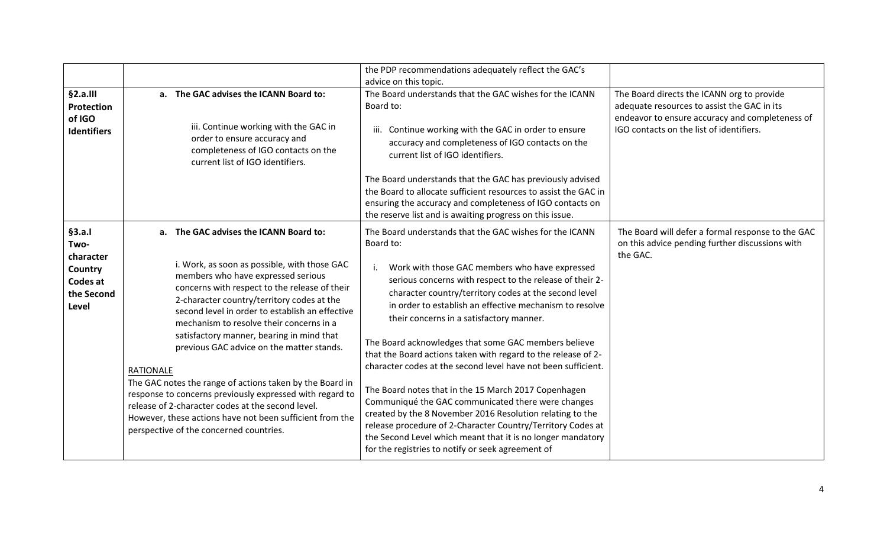|                                                                           |                                                                                                                                                                                                                                                                                                                                                                                                                                                                                                                                                                                                                                                                                                                              | the PDP recommendations adequately reflect the GAC's<br>advice on this topic.                                                                                                                                                                                                                                                                                                                                                                                                                                                                                                                                                                                                                                                                                                                                                                                                                              |                                                                                                                                                                                          |
|---------------------------------------------------------------------------|------------------------------------------------------------------------------------------------------------------------------------------------------------------------------------------------------------------------------------------------------------------------------------------------------------------------------------------------------------------------------------------------------------------------------------------------------------------------------------------------------------------------------------------------------------------------------------------------------------------------------------------------------------------------------------------------------------------------------|------------------------------------------------------------------------------------------------------------------------------------------------------------------------------------------------------------------------------------------------------------------------------------------------------------------------------------------------------------------------------------------------------------------------------------------------------------------------------------------------------------------------------------------------------------------------------------------------------------------------------------------------------------------------------------------------------------------------------------------------------------------------------------------------------------------------------------------------------------------------------------------------------------|------------------------------------------------------------------------------------------------------------------------------------------------------------------------------------------|
| §2.a.III<br>Protection<br>of IGO<br><b>Identifiers</b>                    | a. The GAC advises the ICANN Board to:<br>iii. Continue working with the GAC in<br>order to ensure accuracy and<br>completeness of IGO contacts on the<br>current list of IGO identifiers.                                                                                                                                                                                                                                                                                                                                                                                                                                                                                                                                   | The Board understands that the GAC wishes for the ICANN<br>Board to:<br>iii. Continue working with the GAC in order to ensure<br>accuracy and completeness of IGO contacts on the<br>current list of IGO identifiers.                                                                                                                                                                                                                                                                                                                                                                                                                                                                                                                                                                                                                                                                                      | The Board directs the ICANN org to provide<br>adequate resources to assist the GAC in its<br>endeavor to ensure accuracy and completeness of<br>IGO contacts on the list of identifiers. |
|                                                                           |                                                                                                                                                                                                                                                                                                                                                                                                                                                                                                                                                                                                                                                                                                                              | The Board understands that the GAC has previously advised<br>the Board to allocate sufficient resources to assist the GAC in<br>ensuring the accuracy and completeness of IGO contacts on<br>the reserve list and is awaiting progress on this issue.                                                                                                                                                                                                                                                                                                                                                                                                                                                                                                                                                                                                                                                      |                                                                                                                                                                                          |
| §3.a.1<br>Two-<br>character<br>Country<br>Codes at<br>the Second<br>Level | a. The GAC advises the ICANN Board to:<br>i. Work, as soon as possible, with those GAC<br>members who have expressed serious<br>concerns with respect to the release of their<br>2-character country/territory codes at the<br>second level in order to establish an effective<br>mechanism to resolve their concerns in a<br>satisfactory manner, bearing in mind that<br>previous GAC advice on the matter stands.<br><b>RATIONALE</b><br>The GAC notes the range of actions taken by the Board in<br>response to concerns previously expressed with regard to<br>release of 2-character codes at the second level.<br>However, these actions have not been sufficient from the<br>perspective of the concerned countries. | The Board understands that the GAC wishes for the ICANN<br>Board to:<br>Work with those GAC members who have expressed<br>serious concerns with respect to the release of their 2-<br>character country/territory codes at the second level<br>in order to establish an effective mechanism to resolve<br>their concerns in a satisfactory manner.<br>The Board acknowledges that some GAC members believe<br>that the Board actions taken with regard to the release of 2-<br>character codes at the second level have not been sufficient.<br>The Board notes that in the 15 March 2017 Copenhagen<br>Communiqué the GAC communicated there were changes<br>created by the 8 November 2016 Resolution relating to the<br>release procedure of 2-Character Country/Territory Codes at<br>the Second Level which meant that it is no longer mandatory<br>for the registries to notify or seek agreement of | The Board will defer a formal response to the GAC<br>on this advice pending further discussions with<br>the GAC.                                                                         |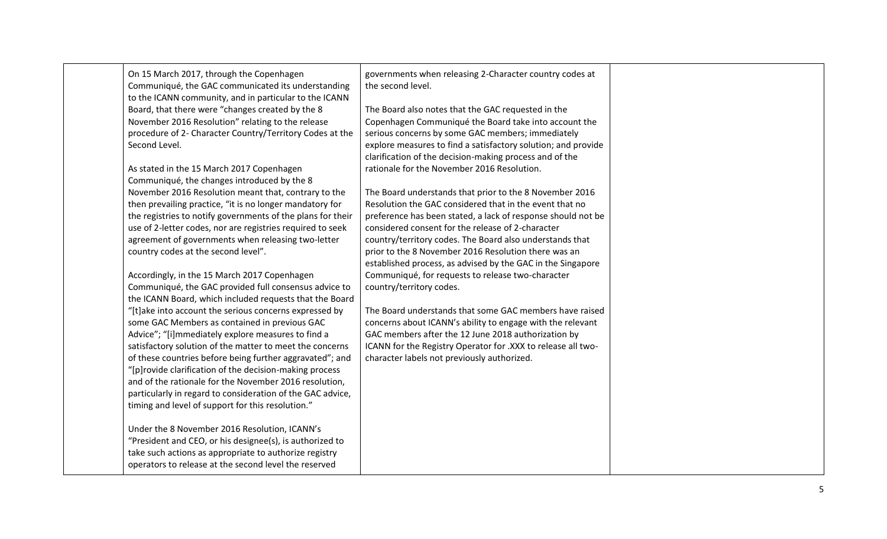| On 15 March 2017, through the Copenhagen<br>Communiqué, the GAC communicated its understanding<br>to the ICANN community, and in particular to the ICANN<br>Board, that there were "changes created by the 8<br>November 2016 Resolution" relating to the release<br>procedure of 2- Character Country/Territory Codes at the<br>Second Level.<br>As stated in the 15 March 2017 Copenhagen<br>Communiqué, the changes introduced by the 8<br>November 2016 Resolution meant that, contrary to the<br>then prevailing practice, "it is no longer mandatory for<br>the registries to notify governments of the plans for their<br>use of 2-letter codes, nor are registries required to seek<br>agreement of governments when releasing two-letter<br>country codes at the second level".<br>Accordingly, in the 15 March 2017 Copenhagen<br>Communiqué, the GAC provided full consensus advice to<br>the ICANN Board, which included requests that the Board<br>"[t]ake into account the serious concerns expressed by<br>some GAC Members as contained in previous GAC<br>Advice"; "[i]mmediately explore measures to find a<br>satisfactory solution of the matter to meet the concerns<br>of these countries before being further aggravated"; and<br>"[p]rovide clarification of the decision-making process<br>and of the rationale for the November 2016 resolution,<br>particularly in regard to consideration of the GAC advice,<br>timing and level of support for this resolution." | governments when releasing 2-Character country codes at<br>the second level.<br>The Board also notes that the GAC requested in the<br>Copenhagen Communiqué the Board take into account the<br>serious concerns by some GAC members; immediately<br>explore measures to find a satisfactory solution; and provide<br>clarification of the decision-making process and of the<br>rationale for the November 2016 Resolution.<br>The Board understands that prior to the 8 November 2016<br>Resolution the GAC considered that in the event that no<br>preference has been stated, a lack of response should not be<br>considered consent for the release of 2-character<br>country/territory codes. The Board also understands that<br>prior to the 8 November 2016 Resolution there was an<br>established process, as advised by the GAC in the Singapore<br>Communiqué, for requests to release two-character<br>country/territory codes.<br>The Board understands that some GAC members have raised<br>concerns about ICANN's ability to engage with the relevant<br>GAC members after the 12 June 2018 authorization by<br>ICANN for the Registry Operator for .XXX to release all two-<br>character labels not previously authorized. |  |
|-----------------------------------------------------------------------------------------------------------------------------------------------------------------------------------------------------------------------------------------------------------------------------------------------------------------------------------------------------------------------------------------------------------------------------------------------------------------------------------------------------------------------------------------------------------------------------------------------------------------------------------------------------------------------------------------------------------------------------------------------------------------------------------------------------------------------------------------------------------------------------------------------------------------------------------------------------------------------------------------------------------------------------------------------------------------------------------------------------------------------------------------------------------------------------------------------------------------------------------------------------------------------------------------------------------------------------------------------------------------------------------------------------------------------------------------------------------------------------------------------|-------------------------------------------------------------------------------------------------------------------------------------------------------------------------------------------------------------------------------------------------------------------------------------------------------------------------------------------------------------------------------------------------------------------------------------------------------------------------------------------------------------------------------------------------------------------------------------------------------------------------------------------------------------------------------------------------------------------------------------------------------------------------------------------------------------------------------------------------------------------------------------------------------------------------------------------------------------------------------------------------------------------------------------------------------------------------------------------------------------------------------------------------------------------------------------------------------------------------------------------|--|
| Under the 8 November 2016 Resolution, ICANN's<br>"President and CEO, or his designee(s), is authorized to<br>take such actions as appropriate to authorize registry<br>operators to release at the second level the reserved                                                                                                                                                                                                                                                                                                                                                                                                                                                                                                                                                                                                                                                                                                                                                                                                                                                                                                                                                                                                                                                                                                                                                                                                                                                                  |                                                                                                                                                                                                                                                                                                                                                                                                                                                                                                                                                                                                                                                                                                                                                                                                                                                                                                                                                                                                                                                                                                                                                                                                                                           |  |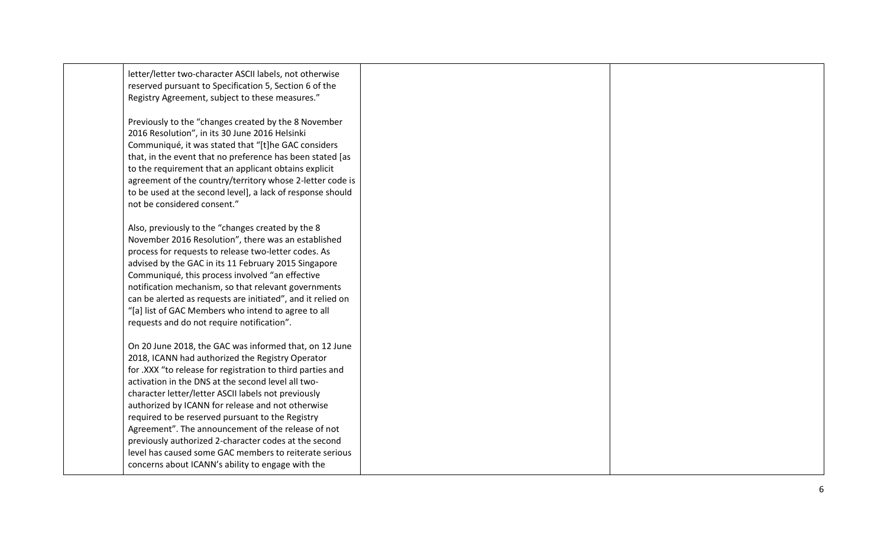| letter/letter two-character ASCII labels, not otherwise<br>reserved pursuant to Specification 5, Section 6 of the |  |
|-------------------------------------------------------------------------------------------------------------------|--|
| Registry Agreement, subject to these measures."                                                                   |  |
| Previously to the "changes created by the 8 November                                                              |  |
| 2016 Resolution", in its 30 June 2016 Helsinki                                                                    |  |
| Communiqué, it was stated that "[t]he GAC considers                                                               |  |
| that, in the event that no preference has been stated [as                                                         |  |
| to the requirement that an applicant obtains explicit                                                             |  |
| agreement of the country/territory whose 2-letter code is                                                         |  |
| to be used at the second level], a lack of response should                                                        |  |
| not be considered consent."                                                                                       |  |
| Also, previously to the "changes created by the 8                                                                 |  |
| November 2016 Resolution", there was an established                                                               |  |
| process for requests to release two-letter codes. As                                                              |  |
| advised by the GAC in its 11 February 2015 Singapore                                                              |  |
| Communiqué, this process involved "an effective                                                                   |  |
| notification mechanism, so that relevant governments                                                              |  |
| can be alerted as requests are initiated", and it relied on                                                       |  |
| "[a] list of GAC Members who intend to agree to all                                                               |  |
| requests and do not require notification".                                                                        |  |
| On 20 June 2018, the GAC was informed that, on 12 June                                                            |  |
| 2018, ICANN had authorized the Registry Operator                                                                  |  |
| for .XXX "to release for registration to third parties and                                                        |  |
| activation in the DNS at the second level all two-                                                                |  |
| character letter/letter ASCII labels not previously                                                               |  |
| authorized by ICANN for release and not otherwise                                                                 |  |
| required to be reserved pursuant to the Registry                                                                  |  |
| Agreement". The announcement of the release of not                                                                |  |
| previously authorized 2-character codes at the second                                                             |  |
| level has caused some GAC members to reiterate serious                                                            |  |
| concerns about ICANN's ability to engage with the                                                                 |  |
|                                                                                                                   |  |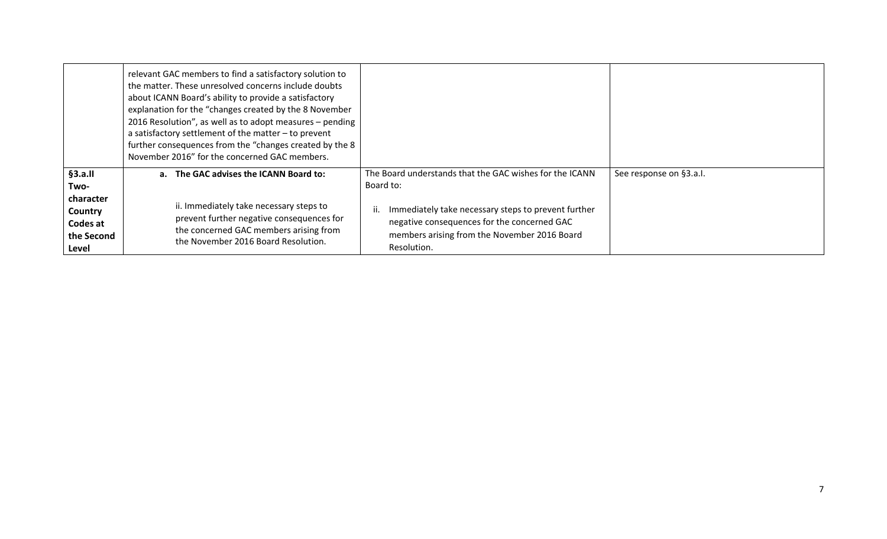|                                                         | relevant GAC members to find a satisfactory solution to<br>the matter. These unresolved concerns include doubts<br>about ICANN Board's ability to provide a satisfactory<br>explanation for the "changes created by the 8 November<br>2016 Resolution", as well as to adopt measures - pending<br>a satisfactory settlement of the matter $-$ to prevent<br>further consequences from the "changes created by the 8<br>November 2016" for the concerned GAC members. |                                                                                                                                                                          |                         |
|---------------------------------------------------------|----------------------------------------------------------------------------------------------------------------------------------------------------------------------------------------------------------------------------------------------------------------------------------------------------------------------------------------------------------------------------------------------------------------------------------------------------------------------|--------------------------------------------------------------------------------------------------------------------------------------------------------------------------|-------------------------|
| §3.a.II<br>Two-                                         | a. The GAC advises the ICANN Board to:                                                                                                                                                                                                                                                                                                                                                                                                                               | The Board understands that the GAC wishes for the ICANN<br>Board to:                                                                                                     | See response on §3.a.I. |
| character<br>Country<br>Codes at<br>the Second<br>Level | ii. Immediately take necessary steps to<br>prevent further negative consequences for<br>the concerned GAC members arising from<br>the November 2016 Board Resolution.                                                                                                                                                                                                                                                                                                | Immediately take necessary steps to prevent further<br>ii.<br>negative consequences for the concerned GAC<br>members arising from the November 2016 Board<br>Resolution. |                         |